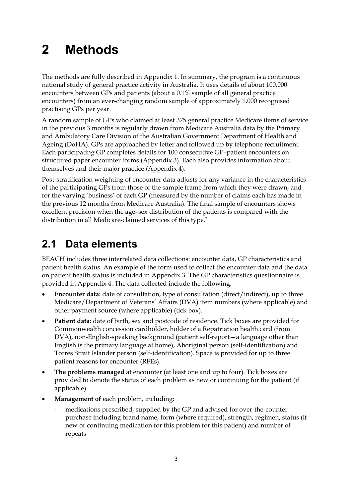# **2 Methods**

The methods are fully described in Appendix 1. In summary, the program is a continuous national study of general practice activity in Australia. It uses details of about 100,000 encounters between GPs and patients (about a 0.1% sample of all general practice encounters) from an ever-changing random sample of approximately 1,000 recognised practising GPs per year.

A random sample of GPs who claimed at least 375 general practice Medicare items of service in the previous 3 months is regularly drawn from Medicare Australia data by the Primary and Ambulatory Care Division of the Australian Government Department of Health and Ageing (DoHA). GPs are approached by letter and followed up by telephone recruitment. Each participating GP completes details for 100 consecutive GP–patient encounters on structured paper encounter forms (Appendix 3). Each also provides information about themselves and their major practice (Appendix 4).

Post-stratification weighting of encounter data adjusts for any variance in the characteristics of the participating GPs from those of the sample frame from which they were drawn, and for the varying 'business' of each GP (measured by the number of claims each has made in the previous 12 months from Medicare Australia). The final sample of encounters shows excellent precision when the age–sex distribution of the patients is compared with the distribution in all Medicare-claimed services of this type.7

## **2.1 Data elements**

BEACH includes three interrelated data collections: encounter data, GP characteristics and patient health status. An example of the form used to collect the encounter data and the data on patient health status is included in Appendix 3. The GP characteristics questionnaire is provided in Appendix 4. The data collected include the following:

- - **Encounter data:** date of consultation, type of consultation (direct/indirect), up to three Medicare/Department of Veterans' Affairs (DVA) item numbers (where applicable) and other payment source (where applicable) (tick box).
- $\bullet$  **Patient data:** date of birth, sex and postcode of residence. Tick boxes are provided for Commonwealth concession cardholder, holder of a Repatriation health card (from DVA), non-English-speaking background (patient self-report—a language other than English is the primary language at home), Aboriginal person (self-identification) and Torres Strait Islander person (self-identification). Space is provided for up to three patient reasons for encounter (RFEs).
- - **The problems managed** at encounter (at least one and up to four). Tick boxes are provided to denote the status of each problem as new or continuing for the patient (if applicable).
- $\bullet$  **Management of** each problem, including:
	- medications prescribed, supplied by the GP and advised for over-the-counter purchase including brand name, form (where required), strength, regimen, status (if new or continuing medication for this problem for this patient) and number of repeats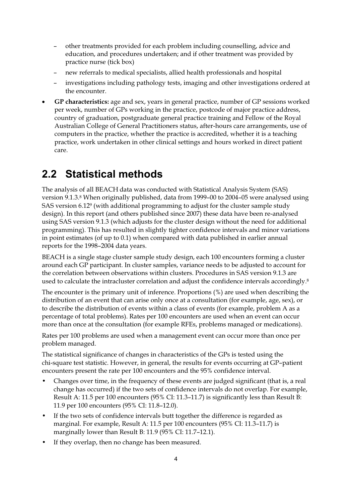- other treatments provided for each problem including counselling, advice and education, and procedures undertaken; and if other treatment was provided by practice nurse (tick box)
- new referrals to medical specialists, allied health professionals and hospital
- investigations including pathology tests, imaging and other investigations ordered at the encounter.
- $\bullet$  **GP characteristics:** age and sex, years in general practice, number of GP sessions worked per week, number of GPs working in the practice, postcode of major practice address, country of graduation, postgraduate general practice training and Fellow of the Royal Australian College of General Practitioners status, after-hours care arrangements, use of computers in the practice, whether the practice is accredited, whether it is a teaching practice, work undertaken in other clinical settings and hours worked in direct patient care.

## **2.2 Statistical methods**

The analysis of all BEACH data was conducted with Statistical Analysis System (SAS) version 9.1.3.8 When originally published, data from 1999–00 to 2004–05 were analysed using SAS version 6.129 (with additional programming to adjust for the cluster sample study design). In this report (and others published since 2007) these data have been re-analysed using SAS version 9.1.3 (which adjusts for the cluster design without the need for additional programming). This has resulted in slightly tighter confidence intervals and minor variations in point estimates (of up to 0.1) when compared with data published in earlier annual reports for the 1998–2004 data years.

BEACH is a single stage cluster sample study design, each 100 encounters forming a cluster around each GP participant. In cluster samples, variance needs to be adjusted to account for the correlation between observations within clusters. Procedures in SAS version 9.1.3 are used to calculate the intracluster correlation and adjust the confidence intervals accordingly.<sup>8</sup>

The encounter is the primary unit of inference. Proportions (%) are used when describing the distribution of an event that can arise only once at a consultation (for example, age, sex), or to describe the distribution of events within a class of events (for example, problem A as a percentage of total problems). Rates per 100 encounters are used when an event can occur more than once at the consultation (for example RFEs, problems managed or medications).

Rates per 100 problems are used when a management event can occur more than once per problem managed.

The statistical significance of changes in characteristics of the GPs is tested using the chi-square test statistic. However, in general, the results for events occurring at GP–patient encounters present the rate per 100 encounters and the 95% confidence interval.

- Changes over time, in the frequency of these events are judged significant (that is, a real change has occurred) if the two sets of confidence intervals do not overlap. For example, Result A: 11.5 per 100 encounters (95% CI: 11.3–11.7) is significantly less than Result B: 11.9 per 100 encounters (95% CI: 11.8–12.0).
- If the two sets of confidence intervals butt together the difference is regarded as marginal. For example, Result A: 11.5 per 100 encounters (95% CI: 11.3–11.7) is marginally lower than Result B: 11.9 (95% CI: 11.7–12.1).
- If they overlap, then no change has been measured.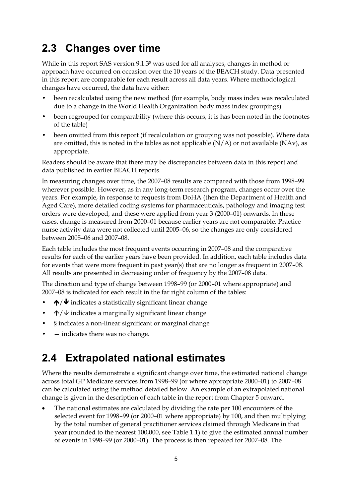## **2.3 Changes over time**

While in this report SAS version 9.1.38 was used for all analyses, changes in method or approach have occurred on occasion over the 10 years of the BEACH study. Data presented in this report are comparable for each result across all data years. Where methodological changes have occurred, the data have either:

- been recalculated using the new method (for example, body mass index was recalculated due to a change in the World Health Organization body mass index groupings)
- been regrouped for comparability (where this occurs, it is has been noted in the footnotes of the table)
- been omitted from this report (if recalculation or grouping was not possible). Where data are omitted, this is noted in the tables as not applicable  $(N/A)$  or not available  $(NAv)$ , as appropriate.

Readers should be aware that there may be discrepancies between data in this report and data published in earlier BEACH reports.

In measuring changes over time, the 2007–08 results are compared with those from 1998–99 wherever possible. However, as in any long-term research program, changes occur over the years. For example, in response to requests from DoHA (then the Department of Health and Aged Care), more detailed coding systems for pharmaceuticals, pathology and imaging test orders were developed, and these were applied from year 3 (2000–01) onwards. In these cases, change is measured from 2000–01 because earlier years are not comparable. Practice nurse activity data were not collected until 2005–06, so the changes are only considered between 2005–06 and 2007–08.

Each table includes the most frequent events occurring in 2007–08 and the comparative results for each of the earlier years have been provided. In addition, each table includes data for events that were more frequent in past year(s) that are no longer as frequent in 2007–08. All results are presented in decreasing order of frequency by the 2007–08 data.

The direction and type of change between 1998–99 (or 2000–01 where appropriate) and 2007–08 is indicated for each result in the far right column of the tables:

- $\bigwedge$  indicates a statistically significant linear change
- $\uparrow/\downarrow$  indicates a marginally significant linear change
- § indicates a non-linear significant or marginal change
- — indicates there was no change.

## **2.4 Extrapolated national estimates**

Where the results demonstrate a significant change over time, the estimated national change across total GP Medicare services from 1998–99 (or where appropriate 2000–01) to 2007–08 can be calculated using the method detailed below. An example of an extrapolated national change is given in the description of each table in the report from Chapter 5 onward.

- The national estimates are calculated by dividing the rate per 100 encounters of the selected event for 1998–99 (or 2000–01 where appropriate) by 100, and then multiplying by the total number of general practitioner services claimed through Medicare in that year (rounded to the nearest 100,000, see Table 1.1) to give the estimated annual number of events in 1998–99 (or 2000–01). The process is then repeated for 2007–08. The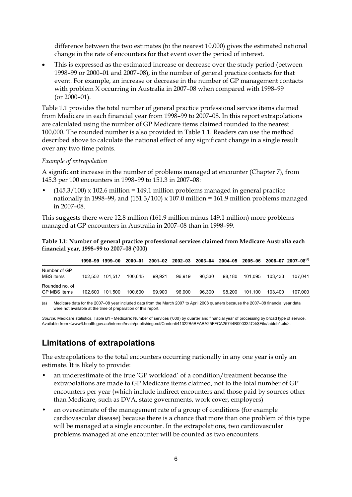difference between the two estimates (to the nearest 10,000) gives the estimated national change in the rate of encounters for that event over the period of interest.

- This is expressed as the estimated increase or decrease over the study period (between 1998–99 or 2000–01 and 2007–08), in the number of general practice contacts for that event. For example, an increase or decrease in the number of GP management contacts with problem X occurring in Australia in 2007–08 when compared with 1998–99 (or 2000–01).

Table 1.1 provides the total number of general practice professional service items claimed from Medicare in each financial year from 1998–99 to 2007–08. In this report extrapolations are calculated using the number of GP Medicare items claimed rounded to the nearest 100,000. The rounded number is also provided in Table 1.1. Readers can use the method described above to calculate the national effect of any significant change in a single result over any two time points.

#### *Example of extrapolation*

A significant increase in the number of problems managed at encounter (Chapter 7), from 145.3 per 100 encounters in 1998–99 to 151.3 in 2007–08:

 $(145.3/100)$  x 102.6 million = 149.1 million problems managed in general practice nationally in 1998–99, and  $(151.3/100) \times 107.0$  million = 161.9 million problems managed in 2007–08.

This suggests there were 12.8 million (161.9 million minus 149.1 million) more problems managed at GP encounters in Australia in 2007–08 than in 1998–99.

**Table 1.1: Number of general practice professional services claimed from Medicare Australia each financial year, 1998–99 to 2007–08 ('000)** 

|                                |         | 1998-99 1999-00 | 2000-01 |        | 2001-02 2002-03 | 2003-04 2004-05 |        | 2005–06 |         | $2006 - 07$ 2007-08 <sup>(a)</sup> |
|--------------------------------|---------|-----------------|---------|--------|-----------------|-----------------|--------|---------|---------|------------------------------------|
| Number of GP<br>MBS items      |         | 102.552 101.517 | 100.645 | 99.921 | 96.919          | 96.330          | 98.180 | 101.095 | 103.433 | 107.041                            |
| Rounded no. of<br>GP MBS items | 102.600 | 101.500         | 100.600 | 99.900 | 96.900          | 96.300          | 98.200 | 101.100 | 103.400 | 107.000                            |

(a) Medicare data for the 2007–08 year included data from the March 2007 to April 2008 quarters because the 2007–08 financial year data were not available at the time of preparation of this report.

*Source:* Medicare statistics, Table B1 - Medicare: Number of services ('000) by quarter and financial year of processing by broad type of service. Available from <www6.health.gov.au/internet/main/publishing.nsf/Content/41322B5BFABA25FFCA25744B000334C4/\$File/tableb1.xls>.

### **Limitations of extrapolations**

The extrapolations to the total encounters occurring nationally in any one year is only an estimate. It is likely to provide:

- an underestimate of the true 'GP workload' of a condition/treatment because the extrapolations are made to GP Medicare items claimed, not to the total number of GP encounters per year (which include indirect encounters and those paid by sources other than Medicare, such as DVA, state governments, work cover, employers)
- an overestimate of the management rate of a group of conditions (for example cardiovascular disease) because there is a chance that more than one problem of this type will be managed at a single encounter. In the extrapolations, two cardiovascular problems managed at one encounter will be counted as two encounters.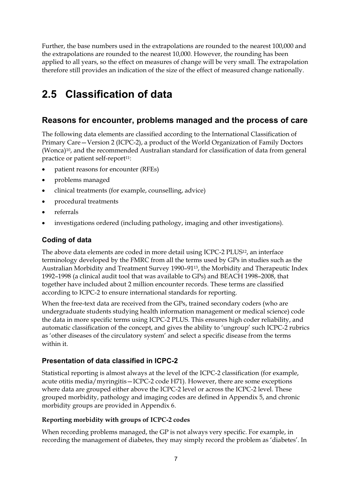Further, the base numbers used in the extrapolations are rounded to the nearest 100,000 and the extrapolations are rounded to the nearest 10,000. However, the rounding has been applied to all years, so the effect on measures of change will be very small. The extrapolation therefore still provides an indication of the size of the effect of measured change nationally.

## **2.5 Classification of data**

### **Reasons for encounter, problems managed and the process of care**

The following data elements are classified according to the International Classification of Primary Care—Version 2 (ICPC-2), a product of the World Organization of Family Doctors (Wonca)10, and the recommended Australian standard for classification of data from general practice or patient self-report<sup>11</sup>:

- $\bullet$ patient reasons for encounter (RFEs)
- problems managed
- $\bullet$ clinical treatments (for example, counselling, advice)
- $\bullet$ procedural treatments
- $\bullet$ referrals
- $\bullet$ investigations ordered (including pathology, imaging and other investigations).

### **Coding of data**

The above data elements are coded in more detail using ICPC-2 PLUS<sup>12</sup>, an interface terminology developed by the FMRC from all the terms used by GPs in studies such as the Australian Morbidity and Treatment Survey 1990–9113, the Morbidity and Therapeutic Index 1992–1998 (a clinical audit tool that was available to GPs) and BEACH 1998–2008, that together have included about 2 million encounter records. These terms are classified according to ICPC-2 to ensure international standards for reporting.

When the free-text data are received from the GPs, trained secondary coders (who are undergraduate students studying health information management or medical science) code the data in more specific terms using ICPC-2 PLUS. This ensures high coder reliability, and automatic classification of the concept, and gives the ability to 'ungroup' such ICPC-2 rubrics as 'other diseases of the circulatory system' and select a specific disease from the terms within it.

### **Presentation of data classified in ICPC-2**

Statistical reporting is almost always at the level of the ICPC-2 classification (for example, acute otitis media/myringitis—ICPC-2 code H71). However, there are some exceptions where data are grouped either above the ICPC-2 level or across the ICPC-2 level. These grouped morbidity, pathology and imaging codes are defined in Appendix 5, and chronic morbidity groups are provided in Appendix 6.

#### **Reporting morbidity with groups of ICPC-2 codes**

When recording problems managed, the GP is not always very specific. For example, in recording the management of diabetes, they may simply record the problem as 'diabetes'. In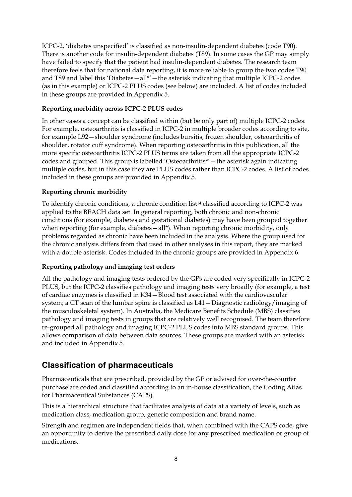ICPC-2, 'diabetes unspecified' is classified as non-insulin-dependent diabetes (code T90). There is another code for insulin-dependent diabetes (T89). In some cases the GP may simply have failed to specify that the patient had insulin-dependent diabetes. The research team therefore feels that for national data reporting, it is more reliable to group the two codes T90 and T89 and label this 'Diabetes—all\*'—the asterisk indicating that multiple ICPC-2 codes (as in this example) or ICPC-2 PLUS codes (see below) are included. A list of codes included in these groups are provided in Appendix 5.

#### **Reporting morbidity across ICPC-2 PLUS codes**

In other cases a concept can be classified within (but be only part of) multiple ICPC-2 codes. For example, osteoarthritis is classified in ICPC-2 in multiple broader codes according to site, for example L92—shoulder syndrome (includes bursitis, frozen shoulder, osteoarthritis of shoulder, rotator cuff syndrome). When reporting osteoarthritis in this publication, all the more specific osteoarthritis ICPC-2 PLUS terms are taken from all the appropriate ICPC-2 codes and grouped. This group is labelled 'Osteoarthritis\*'—the asterisk again indicating multiple codes, but in this case they are PLUS codes rather than ICPC-2 codes. A list of codes included in these groups are provided in Appendix 5.

#### **Reporting chronic morbidity**

To identify chronic conditions, a chronic condition list<sup>14</sup> classified according to ICPC-2 was applied to the BEACH data set. In general reporting, both chronic and non-chronic conditions (for example, diabetes and gestational diabetes) may have been grouped together when reporting (for example, diabetes - all\*). When reporting chronic morbidity, only problems regarded as chronic have been included in the analysis. Where the group used for the chronic analysis differs from that used in other analyses in this report, they are marked with a double asterisk. Codes included in the chronic groups are provided in Appendix 6.

#### **Reporting pathology and imaging test orders**

All the pathology and imaging tests ordered by the GPs are coded very specifically in ICPC-2 PLUS, but the ICPC-2 classifies pathology and imaging tests very broadly (for example, a test of cardiac enzymes is classified in K34—Blood test associated with the cardiovascular system; a CT scan of the lumbar spine is classified as L41—Diagnostic radiology/imaging of the musculoskeletal system). In Australia, the Medicare Benefits Schedule (MBS) classifies pathology and imaging tests in groups that are relatively well recognised. The team therefore re-grouped all pathology and imaging ICPC-2 PLUS codes into MBS standard groups. This allows comparison of data between data sources. These groups are marked with an asterisk and included in Appendix 5.

## **Classification of pharmaceuticals**

Pharmaceuticals that are prescribed, provided by the GP or advised for over-the-counter purchase are coded and classified according to an in-house classification, the Coding Atlas for Pharmaceutical Substances (CAPS).

This is a hierarchical structure that facilitates analysis of data at a variety of levels, such as medication class, medication group, generic composition and brand name.

Strength and regimen are independent fields that, when combined with the CAPS code, give an opportunity to derive the prescribed daily dose for any prescribed medication or group of medications.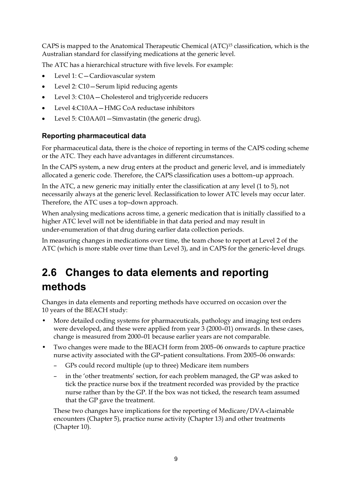CAPS is mapped to the Anatomical Therapeutic Chemical (ATC)15 classification, which is the Australian standard for classifying medications at the generic level.

The ATC has a hierarchical structure with five levels. For example:

- $\bullet$ Level 1: C—Cardiovascular system
- -Level 2: C10—Serum lipid reducing agents
- -Level 3: C10A—Cholesterol and triglyceride reducers
- $\bullet$ Level 4:C10AA—HMG CoA reductase inhibitors
- $\bullet$ Level 5: C10AA01—Simvastatin (the generic drug).

#### **Reporting pharmaceutical data**

For pharmaceutical data, there is the choice of reporting in terms of the CAPS coding scheme or the ATC. They each have advantages in different circumstances.

In the CAPS system, a new drug enters at the product and generic level, and is immediately allocated a generic code. Therefore, the CAPS classification uses a bottom–up approach.

In the ATC, a new generic may initially enter the classification at any level (1 to 5), not necessarily always at the generic level. Reclassification to lower ATC levels may occur later. Therefore, the ATC uses a top–down approach.

When analysing medications across time, a generic medication that is initially classified to a higher ATC level will not be identifiable in that data period and may result in under-enumeration of that drug during earlier data collection periods.

In measuring changes in medications over time, the team chose to report at Level 2 of the ATC (which is more stable over time than Level 3), and in CAPS for the generic-level drugs*.*

## **2.6 Changes to data elements and reporting methods**

Changes in data elements and reporting methods have occurred on occasion over the 10 years of the BEACH study:

- More detailed coding systems for pharmaceuticals, pathology and imaging test orders were developed, and these were applied from year 3 (2000–01) onwards. In these cases, change is measured from 2000–01 because earlier years are not comparable.
- Two changes were made to the BEACH form from 2005–06 onwards to capture practice nurse activity associated with the GP–patient consultations. From 2005–06 onwards:
	- GPs could record multiple (up to three) Medicare item numbers
	- in the 'other treatments' section, for each problem managed, the GP was asked to tick the practice nurse box if the treatment recorded was provided by the practice nurse rather than by the GP. If the box was not ticked, the research team assumed that the GP gave the treatment.

These two changes have implications for the reporting of Medicare/DVA-claimable encounters (Chapter 5), practice nurse activity (Chapter 13) and other treatments (Chapter 10).